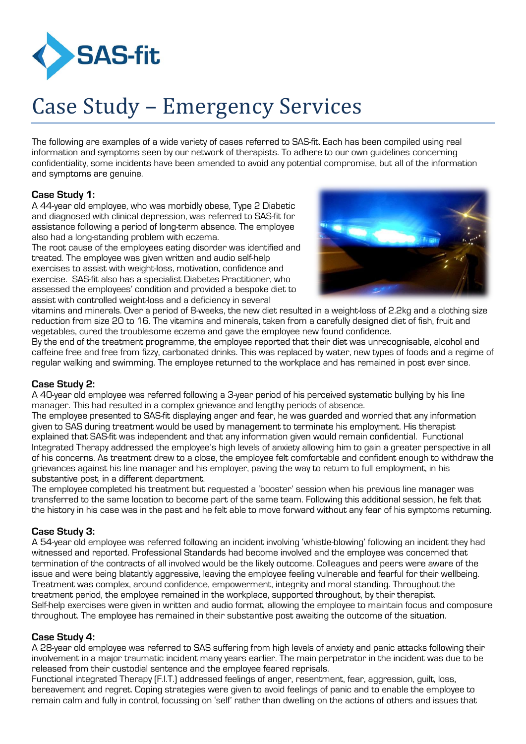

# Case Study – Emergency Services

The following are examples of a wide variety of cases referred to SAS-fit. Each has been compiled using real information and symptoms seen by our network of therapists. To adhere to our own guidelines concerning confidentiality, some incidents have been amended to avoid any potential compromise, but all of the information and symptoms are genuine.

#### **Case Study 1:**

A 44-year old employee, who was morbidly obese, Type 2 Diabetic and diagnosed with clinical depression, was referred to SAS-fit for assistance following a period of long-term absence. The employee also had a long-standing problem with eczema.

The root cause of the employees eating disorder was identified and treated. The employee was given written and audio self-help exercises to assist with weight-loss, motivation, confidence and exercise. SAS-fit also has a specialist Diabetes Practitioner, who assessed the employees' condition and provided a bespoke diet to assist with controlled weight-loss and a deficiency in several



vitamins and minerals. Over a period of 8-weeks, the new diet resulted in a weight-loss of 2.2kg and a clothing size reduction from size 20 to 16. The vitamins and minerals, taken from a carefully designed diet of fish, fruit and vegetables, cured the troublesome eczema and gave the employee new found confidence.

By the end of the treatment programme, the employee reported that their diet was unrecognisable, alcohol and caffeine free and free from fizzy, carbonated drinks. This was replaced by water, new types of foods and a regime of regular walking and swimming. The employee returned to the workplace and has remained in post ever since.

#### **Case Study 2:**

A 40-year old employee was referred following a 3-year period of his perceived systematic bullying by his line manager. This had resulted in a complex grievance and lengthy periods of absence.

The employee presented to SAS-fit displaying anger and fear, he was guarded and worried that any information given to SAS during treatment would be used by management to terminate his employment. His therapist explained that SAS-fit was independent and that any information given would remain confidential. Functional Integrated Therapy addressed the employee's high levels of anxiety allowing him to gain a greater perspective in all of his concerns. As treatment drew to a close, the employee felt comfortable and confident enough to withdraw the grievances against his line manager and his employer, paving the way to return to full employment, in his substantive post, in a different department.

The employee completed his treatment but requested a 'booster' session when his previous line manager was transferred to the same location to become part of the same team. Following this additional session, he felt that the history in his case was in the past and he felt able to move forward without any fear of his symptoms returning.

#### **Case Study 3:**

A 54-year old employee was referred following an incident involving 'whistle-blowing' following an incident they had witnessed and reported. Professional Standards had become involved and the employee was concerned that termination of the contracts of all involved would be the likely outcome. Colleagues and peers were aware of the issue and were being blatantly aggressive, leaving the employee feeling vulnerable and fearful for their wellbeing. Treatment was complex, around confidence, empowerment, integrity and moral standing. Throughout the treatment period, the employee remained in the workplace, supported throughout, by their therapist. Self-help exercises were given in written and audio format, allowing the employee to maintain focus and composure throughout. The employee has remained in their substantive post awaiting the outcome of the situation.

#### **Case Study 4:**

A 28-year old employee was referred to SAS suffering from high levels of anxiety and panic attacks following their involvement in a major traumatic incident many years earlier. The main perpetrator in the incident was due to be released from their custodial sentence and the employee feared reprisals.

Functional integrated Therapy (F.I.T.) addressed feelings of anger, resentment, fear, aggression, guilt, loss, bereavement and regret. Coping strategies were given to avoid feelings of panic and to enable the employee to remain calm and fully in control, focussing on 'self' rather than dwelling on the actions of others and issues that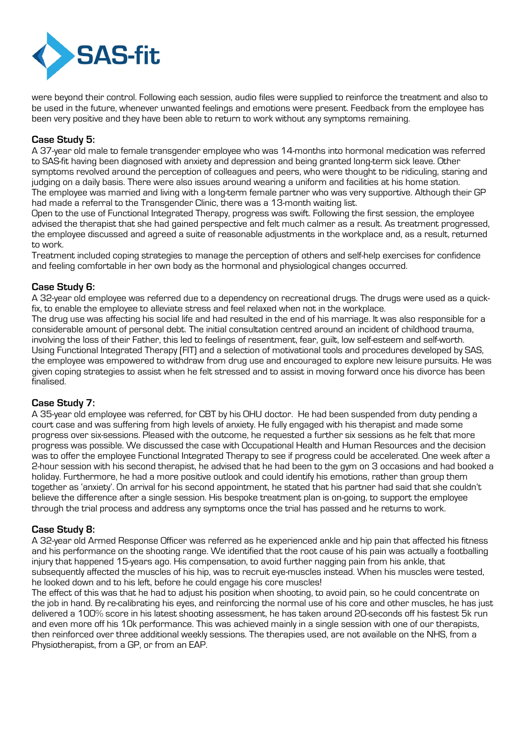

were beyond their control. Following each session, audio files were supplied to reinforce the treatment and also to be used in the future, whenever unwanted feelings and emotions were present. Feedback from the employee has been very positive and they have been able to return to work without any symptoms remaining.

#### **Case Study 5:**

A 37-year old male to female transgender employee who was 14-months into hormonal medication was referred to SAS-fit having been diagnosed with anxiety and depression and being granted long-term sick leave. Other symptoms revolved around the perception of colleagues and peers, who were thought to be ridiculing, staring and judging on a daily basis. There were also issues around wearing a uniform and facilities at his home station. The employee was married and living with a long-term female partner who was very supportive. Although their GP had made a referral to the Transgender Clinic, there was a 13-month waiting list.

Open to the use of Functional Integrated Therapy, progress was swift. Following the first session, the employee advised the therapist that she had gained perspective and felt much calmer as a result. As treatment progressed, the employee discussed and agreed a suite of reasonable adjustments in the workplace and, as a result, returned to work.

Treatment included coping strategies to manage the perception of others and self-help exercises for confidence and feeling comfortable in her own body as the hormonal and physiological changes occurred.

#### **Case Study 6:**

A 32-year old employee was referred due to a dependency on recreational drugs. The drugs were used as a quickfix, to enable the employee to alleviate stress and feel relaxed when not in the workplace.

The drug use was affecting his social life and had resulted in the end of his marriage. It was also responsible for a considerable amount of personal debt. The initial consultation centred around an incident of childhood trauma, involving the loss of their Father, this led to feelings of resentment, fear, guilt, low self-esteem and self-worth. Using Functional Integrated Therapy (FIT) and a selection of motivational tools and procedures developed by SAS, the employee was empowered to withdraw from drug use and encouraged to explore new leisure pursuits. He was given coping strategies to assist when he felt stressed and to assist in moving forward once his divorce has been finalised.

#### **Case Study 7:**

A 35-year old employee was referred, for CBT by his OHU doctor. He had been suspended from duty pending a court case and was suffering from high levels of anxiety. He fully engaged with his therapist and made some progress over six-sessions. Pleased with the outcome, he requested a further six sessions as he felt that more progress was possible. We discussed the case with Occupational Health and Human Resources and the decision was to offer the employee Functional Integrated Therapy to see if progress could be accelerated. One week after a 2-hour session with his second therapist, he advised that he had been to the gym on 3 occasions and had booked a holiday. Furthermore, he had a more positive outlook and could identify his emotions, rather than group them together as 'anxiety'. On arrival for his second appointment, he stated that his partner had said that she couldn't believe the difference after a single session. His bespoke treatment plan is on-going, to support the employee through the trial process and address any symptoms once the trial has passed and he returns to work.

#### **Case Study 8:**

A 32-year old Armed Response Officer was referred as he experienced ankle and hip pain that affected his fitness and his performance on the shooting range. We identified that the root cause of his pain was actually a footballing injury that happened 15-years ago. His compensation, to avoid further nagging pain from his ankle, that subsequently affected the muscles of his hip, was to recruit eye-muscles instead. When his muscles were tested, he looked down and to his left, before he could engage his core muscles!

The effect of this was that he had to adjust his position when shooting, to avoid pain, so he could concentrate on the job in hand. By re-calibrating his eyes, and reinforcing the normal use of his core and other muscles, he has just delivered a 100% score in his latest shooting assessment, he has taken around 20-seconds off his fastest 5k run and even more off his 10k performance. This was achieved mainly in a single session with one of our therapists, then reinforced over three additional weekly sessions. The therapies used, are not available on the NHS, from a Physiotherapist, from a GP, or from an EAP.